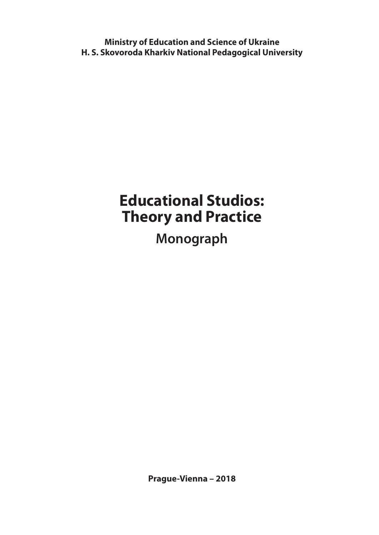**Ministry of Education and Science of Ukraine H. S. Skovoroda Kharkiv National Pedagogical University** 

# **Educational Studios: Theory and Practice Monograph**

**Prague-Vienna – 2018**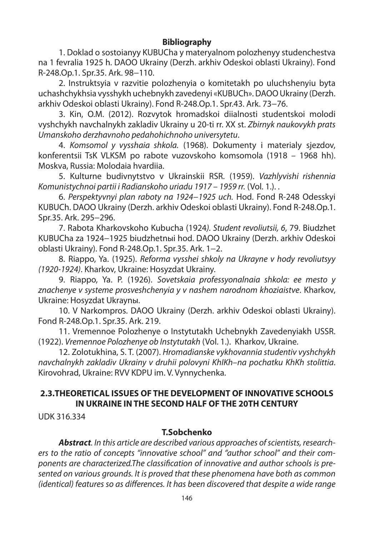## **Bibliography**

1. Doklad o sostoianyy KUBUCha y materyalnom polozhenyy studenchestva na 1 fevralia 1925 h. DAOO Ukrainy (Derzh. arkhiv Odeskoi oblasti Ukrainy). Fond R-248.Op.1. Spr.35. Ark. 98−110.

2. Instruktsyia v razvitie polozhenyia o komitetakh po uluchshenyiu byta uchashchykhsia vysshykh uchebnykh zavedenyi «KUBUCh». DAOO Ukrainy (Derzh. arkhiv Odeskoi oblasti Ukrainy). Fond R-248.Op.1. Spr.43. Ark. 73−76.

3. Kin, O.M. (2012). Rozvytok hromadskoi diialnosti studentskoi molodi vyshchykh navchalnykh zakladiv Ukrainy u 20-ti rr. XX st. Zbirnyk naukovykh prats Umanskoho derzhavnoho pedahohichnoho universytetu.

4. Komsomol y vysshaia shkola. (1968). Dokumenty i materialy sjezdov, konferentsii TsK VLKSM po rabote vuzovskoho komsomola (1918 – 1968 hh). Moskva, Russia: Molodaia hvardiia.

5. Kulturne budivnytstvo v Ukrainskii RSR. (1959). Vazhlyvishi rishennia Komunistychnoi partii i Radianskoho uriadu 1917 – 1959 rr. (Vol. 1.). .

6. Perspektyvnyi plan raboty na 1924−1925 uch. Hod. Fond R-248 Odesskyi KUBUCh. DAOO Ukrainy (Derzh. arkhiv Odeskoi oblasti Ukrainy). Fond R-248.Op.1. Spr.35. Ark. 295−296.

7. Rabota Kharkovskoho Kubucha (1924). Student revoliutsii, 6, 79. Biudzhet KUBUCha za 1924−1925 biudzhetnыi hod. DAOO Ukrainy (Derzh. arkhiv Odeskoi oblasti Ukrainy). Fond R-248.Op.1. Spr.35. Ark. 1−2.

8. Riappo, Ya. (1925). Reforma vysshei shkoly na Ukrayne v hody revoliutsyy (1920-1924). Kharkov, Ukraine: Hosyzdat Ukrainy.

9. Riappo, Ya. P. (1926). Sovetskaia professyonalnaia shkola: ee mesto y znachenye v systeme prosveshchenyia y v nashem narodnom khoziaistve. Kharkov, Ukraine: Hosyzdat Ukraynы.

10. V Narkompros. DAOO Ukrainy (Derzh. arkhiv Odeskoi oblasti Ukrainy). Fond R-248.Op.1. Spr.35. Ark. 219.

11. Vremennoe Polozhenye o Instytutakh Uchebnykh Zavedenyiakh USSR. (1922). Vremennoe Polozhenye ob Instytutakh (Vol. 1.). Kharkov, Ukraine.

12. Zolotukhina, S. T. (2007). Hromadianske vykhovannia studentiv vyshchykh navchalnykh zakladiv Ukrainy v druhii polovyni KhIKh–na pochatku KhKh stolittia. Kirovohrad, Ukraine: RVV KDPU im. V. Vynnychenka.

## **2.3.THEORETICAL ISSUES OF THE DEVELOPMENT OF INNOVATIVE SCHOOLS IN UKRAINE IN THE SECOND HALF OF THE 20TH CENTURY**

UDK 316.334

## **T.Sobchenko**

*Abstract*. In this article are described various approaches of scientists, researchers to the ratio of concepts "innovative school" and "author school" and their components are characterized.The classification of innovative and author schools is presented on various grounds. It is proved that these phenomena have both as common (identical) features so as differences. It has been discovered that despite a wide range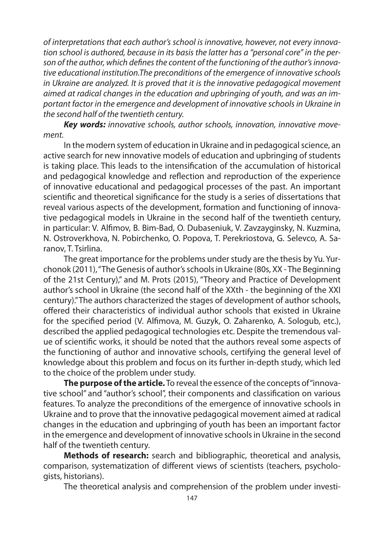of interpretations that each author's school is innovative, however, not every innovation school is authored, because in its basis the latter has a "personal core" in the person of the author, which defines the content of the functioning of the author's innovative educational institution.The preconditions of the emergence of innovative schools in Ukraine are analyzed. It is proved that it is the innovative pedagogical movement aimed at radical changes in the education and upbringing of youth, and was an important factor in the emergence and development of innovative schools in Ukraine in the second half of the twentieth century.

*Key words:* innovative schools, author schools, innovation, innovative movement.

In the modern system of education in Ukraine and in pedagogical science, an active search for new innovative models of education and upbringing of students is taking place. This leads to the intensification of the accumulation of historical and pedagogical knowledge and reflection and reproduction of the experience of innovative educational and pedagogical processes of the past. An important scientific and theoretical significance for the study is a series of dissertations that reveal various aspects of the development, formation and functioning of innovative pedagogical models in Ukraine in the second half of the twentieth century, in particular: V. Alfimov, B. Bim-Bad, O. Dubaseniuk, V. Zavzayginsky, N. Kuzmina, N. Ostroverkhova, N. Pobirchenko, O. Popova, T. Perekriostova, G. Selevco, A. Saranov, T. Tsirlina.

The great importance for the problems under study are the thesis by Yu. Yurchonok (2011), "The Genesis of author's schools in Ukraine (80s, XX - The Beginning of the 21st Century)," and M. Prots (2015), "Theory and Practice of Development author's school in Ukraine (the second half of the XXth - the beginning of the XXI century)." The authors characterized the stages of development of author schools, offered their characteristics of individual author schools that existed in Ukraine for the specified period (V. Alfimova, M. Guzyk, O. Zaharenko, A. Sologub, etc.), described the applied pedagogical technologies etc. Despite the tremendous value of scientific works, it should be noted that the authors reveal some aspects of the functioning of author and innovative schools, certifying the general level of knowledge about this problem and focus on its further in-depth study, which led to the choice of the problem under study.

**The purpose of the article.** To reveal the essence of the concepts of "innovative school" and "author's school", their components and classification on various features. To analyze the preconditions of the emergence of innovative schools in Ukraine and to prove that the innovative pedagogical movement aimed at radical changes in the education and upbringing of youth has been an important factor in the emergence and development of innovative schools in Ukraine in the second half of the twentieth century.

**Methods of research:** search and bibliographic, theoretical and analysis, comparison, systematization of different views of scientists (teachers, psychologists, historians).

The theoretical analysis and comprehension of the problem under investi-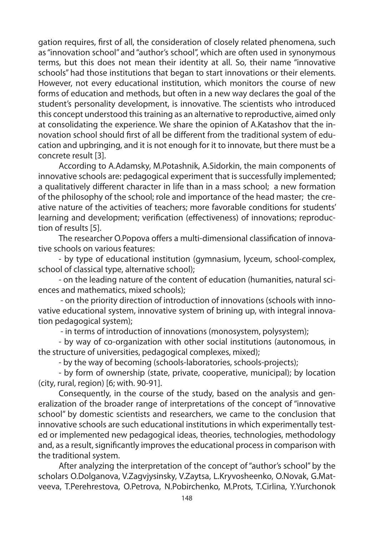gation requires, first of all, the consideration of closely related phenomena, such as "innovation school" and "author's school", which are often used in synonymous terms, but this does not mean their identity at all. So, their name "innovative schools" had those institutions that began to start innovations or their elements. However, not every educational institution, which monitors the course of new forms of education and methods, but often in a new way declares the goal of the student's personality development, is innovative. The scientists who introduced this concept understood this training as an alternative to reproductive, aimed only at consolidating the experience. We share the opinion of A.Katashov that the innovation school should first of all be different from the traditional system of education and upbringing, and it is not enough for it to innovate, but there must be a concrete result [3].

According to A.Adamsky, M.Potashnik, A.Sidorkin, the main components of innovative schools are: pedagogical experiment that is successfully implemented; a qualitatively different character in life than in a mass school; a new formation of the philosophy of the school; role and importance of the head master; the creative nature of the activities of teachers; more favorable conditions for students' learning and development; verification (effectiveness) of innovations: reproduction of results [5].

The researcher O.Popova offers a multi-dimensional classification of innovative schools on various features:

- by type of educational institution (gymnasium, lyceum, school-complex, school of classical type, alternative school);

- on the leading nature of the content of education (humanities, natural sciences and mathematics, mixed schools);

 - on the priority direction of introduction of innovations (schools with innovative educational system, innovative system of brining up, with integral innovation pedagogical system);

- in terms of introduction of innovations (monosystem, polysystem);

- by way of co-organization with other social institutions (autonomous, in the structure of universities, pedagogical complexes, mixed);

- by the way of becoming (schools-laboratories, schools-projects);

- by form of ownership (state, private, cooperative, municipal); by location (city, rural, region) [6; with. 90-91].

Consequently, in the course of the study, based on the analysis and generalization of the broader range of interpretations of the concept of "innovative school" by domestic scientists and researchers, we came to the conclusion that innovative schools are such educational institutions in which experimentally tested or implemented new pedagogical ideas, theories, technologies, methodology and, as a result, significantly improves the educational process in comparison with the traditional system.

After analyzing the interpretation of the concept of "author's school" by the scholars O.Dolganova, V.Zagvjysinsky, V.Zaytsa, L.Kryvosheenko, O.Novak, G.Matveeva, T.Perehrestova, O.Petrova, N.Pobirchenko, M.Prots, T.Cirlina, Y.Yurchonok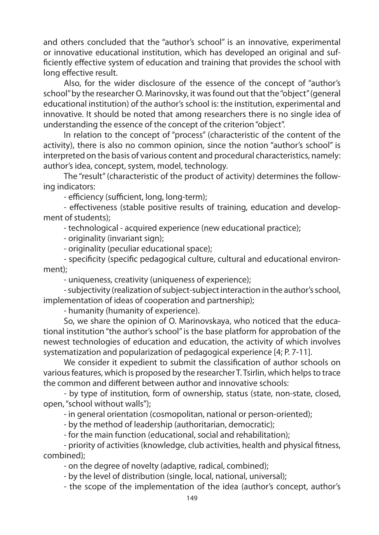and others concluded that the "author's school" is an innovative, experimental or innovative educational institution, which has developed an original and sufficiently effective system of education and training that provides the school with long effective result.

Also, for the wider disclosure of the essence of the concept of "author's school" by the researcher O. Marinovsky, it was found out that the "object" (general educational institution) of the author's school is: the institution, experimental and innovative. It should be noted that among researchers there is no single idea of understanding the essence of the concept of the criterion "object".

In relation to the concept of "process" (characteristic of the content of the activity), there is also no common opinion, since the notion "author's school" is interpreted on the basis of various content and procedural characteristics, namely: author's idea, concept, system, model, technology.

The "result" (characteristic of the product of activity) determines the following indicators:

- efficiency (sufficient, long, long-term);

- effectiveness (stable positive results of training, education and development of students);

- technological - acquired experience (new educational practice);

- originality (invariant sign);

- originality (peculiar educational space);

- specificity (specific pedagogical culture, cultural and educational environment);

- uniqueness, creativity (uniqueness of experience);

- subjectivity (realization of subject-subject interaction in the author's school, implementation of ideas of cooperation and partnership);

- humanity (humanity of experience).

So, we share the opinion of O. Marinovskaya, who noticed that the educational institution "the author's school" is the base platform for approbation of the newest technologies of education and education, the activity of which involves systematization and popularization of pedagogical experience [4; P. 7-11].

We consider it expedient to submit the classification of author schools on various features, which is proposed by the researcher T. Tsirlin, which helps to trace the common and different between author and innovative schools:

- by type of institution, form of ownership, status (state, non-state, closed, open, "school without walls");

- in general orientation (cosmopolitan, national or person-oriented);

- by the method of leadership (authoritarian, democratic);

- for the main function (educational, social and rehabilitation);

- priority of activities (knowledge, club activities, health and physical fitness, combined);

- on the degree of novelty (adaptive, radical, combined);

- by the level of distribution (single, local, national, universal);

- the scope of the implementation of the idea (author's concept, author's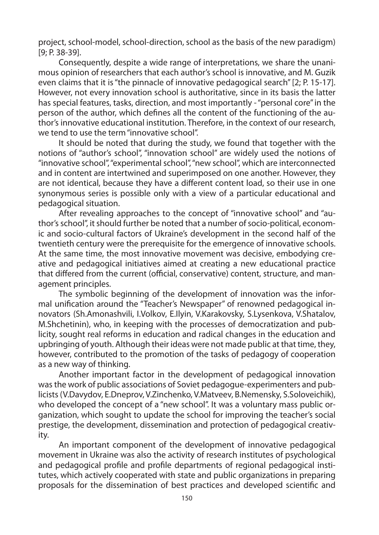project, school-model, school-direction, school as the basis of the new paradigm) [9; P. 38-39].

Consequently, despite a wide range of interpretations, we share the unanimous opinion of researchers that each author's school is innovative, and M. Guzik even claims that it is "the pinnacle of innovative pedagogical search" [2; P. 15-17]. However, not every innovation school is authoritative, since in its basis the latter has special features, tasks, direction, and most importantly - "personal core" in the person of the author, which defines all the content of the functioning of the author's innovative educational institution. Therefore, in the context of our research, we tend to use the term "innovative school".

It should be noted that during the study, we found that together with the notions of "author's school", "innovation school" are widely used the notions of "innovative school", "experimental school", "new school", which are interconnected and in content are intertwined and superimposed on one another. However, they are not identical, because they have a different content load, so their use in one synonymous series is possible only with a view of a particular educational and pedagogical situation.

After revealing approaches to the concept of "innovative school" and "author's school", it should further be noted that a number of socio-political, economic and socio-cultural factors of Ukraine's development in the second half of the twentieth century were the prerequisite for the emergence of innovative schools. At the same time, the most innovative movement was decisive, embodying creative and pedagogical initiatives aimed at creating a new educational practice that differed from the current (official, conservative) content, structure, and management principles.

The symbolic beginning of the development of innovation was the informal unification around the "Teacher's Newspaper" of renowned pedagogical innovators (Sh.Amonashvili, I.Volkov, E.Ilyin, V.Karakovsky, S.Lysenkova, V.Shatalov, M.Shchetinin), who, in keeping with the processes of democratization and publicity, sought real reforms in education and radical changes in the education and upbringing of youth. Although their ideas were not made public at that time, they, however, contributed to the promotion of the tasks of pedagogy of cooperation as a new way of thinking.

Another important factor in the development of pedagogical innovation was the work of public associations of Soviet pedagogue-experimenters and publicists (V.Davydov, E.Dneprov, V.Zinchenko, V.Matveev, B.Nemensky, S.Soloveichik), who developed the concept of a "new school". It was a voluntary mass public organization, which sought to update the school for improving the teacher's social prestige, the development, dissemination and protection of pedagogical creativity.

An important component of the development of innovative pedagogical movement in Ukraine was also the activity of research institutes of psychological and pedagogical profile and profile departments of regional pedagogical institutes, which actively cooperated with state and public organizations in preparing proposals for the dissemination of best practices and developed scientific and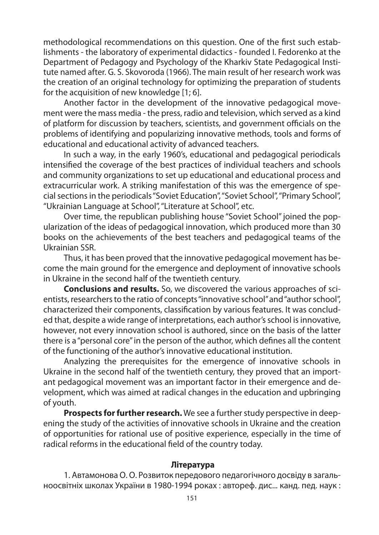methodological recommendations on this question. One of the first such establishments - the laboratory of experimental didactics - founded I. Fedorenko at the Department of Pedagogy and Psychology of the Kharkiv State Pedagogical Institute named after. G. S. Skovoroda (1966). The main result of her research work was the creation of an original technology for optimizing the preparation of students for the acquisition of new knowledge [1; 6].

Another factor in the development of the innovative pedagogical movement were the mass media - the press, radio and television, which served as a kind of platform for discussion by teachers, scientists, and government officials on the problems of identifying and popularizing innovative methods, tools and forms of educational and educational activity of advanced teachers.

In such a way, in the early 1960's, educational and pedagogical periodicals intensified the coverage of the best practices of individual teachers and schools and community organizations to set up educational and educational process and extracurricular work. A striking manifestation of this was the emergence of special sections in the periodicals "Soviet Education", "Soviet School", "Primary School", "Ukrainian Language at School", "Literature at School", etc.

Over time, the republican publishing house "Soviet School" joined the popularization of the ideas of pedagogical innovation, which produced more than 30 books on the achievements of the best teachers and pedagogical teams of the Ukrainian SSR.

Thus, it has been proved that the innovative pedagogical movement has become the main ground for the emergence and deployment of innovative schools in Ukraine in the second half of the twentieth century.

**Conclusions and results.** So, we discovered the various approaches of scientists, researchers to the ratio of concepts "innovative school" and "author school", characterized their components, classification by various features. It was concluded that, despite a wide range of interpretations, each author's school is innovative, however, not every innovation school is authored, since on the basis of the latter there is a "personal core" in the person of the author, which defines all the content of the functioning of the author's innovative educational institution.

Analyzing the prerequisites for the emergence of innovative schools in Ukraine in the second half of the twentieth century, they proved that an important pedagogical movement was an important factor in their emergence and development, which was aimed at radical changes in the education and upbringing of youth.

**Prospects for further research.** We see a further study perspective in deepening the study of the activities of innovative schools in Ukraine and the creation of opportunities for rational use of positive experience, especially in the time of radical reforms in the educational field of the country today.

### **Література**

1. Автамонова О. О. Розвиток передового педагогічного досвіду в загальноосвітніх школах України в 1980-1994 роках : автореф. дис... канд. пед. наук :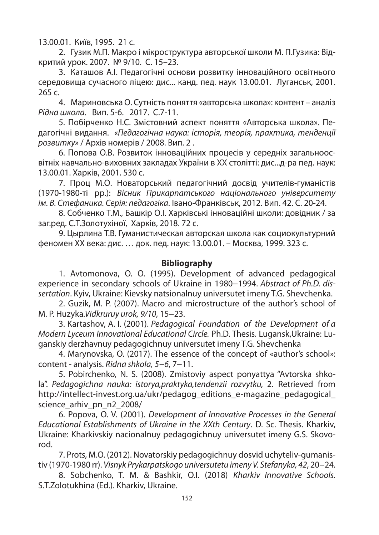13.00.01. Київ, 1995. 21 с.

2. Гузик М.П. Макро і мікроструктура авторської школи М. П.Гузика: Відкритий урок. 2007. № 9/10. С. 15–23.

3. Каташов А.І. Педагогічні основи розвитку інноваційного освітнього середовища сучасного ліцею: дис... канд. пед. наук 13.00.01. Луганськ, 2001. 265 с.

4. Мариновська О. Сутність поняття «авторська школа»: контент – аналіз Рідна школа. Вип. 5-6. 2017. С.7-11.

5. Побірченко Н.С. Змістовний аспект поняття «Авторська школа». Педагогічні видання. «Педагогічна наука: історія, теорія, практика, тенденції розвитку» / Архів номерів / 2008. Вип. 2 .

6. Попова О.В. Розвиток інноваційних процесів у середніх загальноосвітніх навчально-виховних закладах України в ХХ столітті: дис...д-ра пед. наук: 13.00.01. Харків, 2001. 530 с.

7. Проц М.О. Новаторський педагогічний досвід учителів-гуманістів (1970-1980-ті рр.): Вісник Прикарпатського національного університету ім. В. Стефаника. Серія: педагогіка. Івано-Франківськ, 2012. Вип. 42. С. 20-24.

8. Собченко Т.М., Башкір О.І. Харківські інноваційні школи: довідник / за заг.ред. С.Т.Золотухіної, Харків, 2018. 72 с.

9. Цырлина Т.В. Гуманистическая авторская школа как социокультурний феномен ХХ века: дис. … док. пед. наук: 13.00.01. – Москва, 1999. 323 с.

### **Bibliography**

1. Avtomonova, O. O. (1995). Development of advanced pedagogical experience in secondary schools of Ukraine in 1980−1994. Abstract of Ph.D. dissertation. Kуiv, Ukraine: Kievsky natsionalnuy universutet imeny T.G. Shevchenka.

2. Guzik, M. P. (2007). Macro and microstructure of the author's school of M. P. Huzyka.Vidkruruy urok, 9/10, 15−23.

3. Kartashov, A. I. (2001). Pedagogical Foundation of the Development of a Modern Lyceum Innovational Educational Circle. Ph.D. Thesis. Lugansk,Ukrainе: Luganskiy derzhavnuy pedagogichnuy universutet imeny T.G. Shevchenka

4. Marynovska, O. (2017). The essence of the concept of «author's school»: content - analysis. Ridna shkola, 5−6, 7−11.

5. Pobirchenko, N. S. (2008). Zmistoviy aspect ponyattya "Avtorska shkola". Pedagogichna nauka: istorya,praktyka,tendenzii rozvytku, 2. Retrieved from http://intellect-invest.org.ua/ukr/pedagog\_editions\_e-magazine\_pedagogical\_ science arhiv pn\_n2\_2008/

6. Popova, O. V. (2001). Development of Innovative Processes in the General Educational Establishments of Ukraine in the XXth Century. D. Sc. Thesis. Kharkiv, Ukraine: Kharkivskiy nacionalnuy pedagogichnuy universutet imeny G.S. Skovorod.

7. Prots, M.O. (2012). Novatorskiy pedagogichnuy dosvid uchyteliv-gumanistiv (1970-1980 rr). Visnyk Prykarpatskogo universutetu imeny V. Stefanyka, 42, 20−24.

8. Sobchenko, T. M. & Bashkir, O.I. (2018) Kharkiv Innovative Schools. S.T.Zolotukhina (Ed.). Kharkiv, Ukraine.